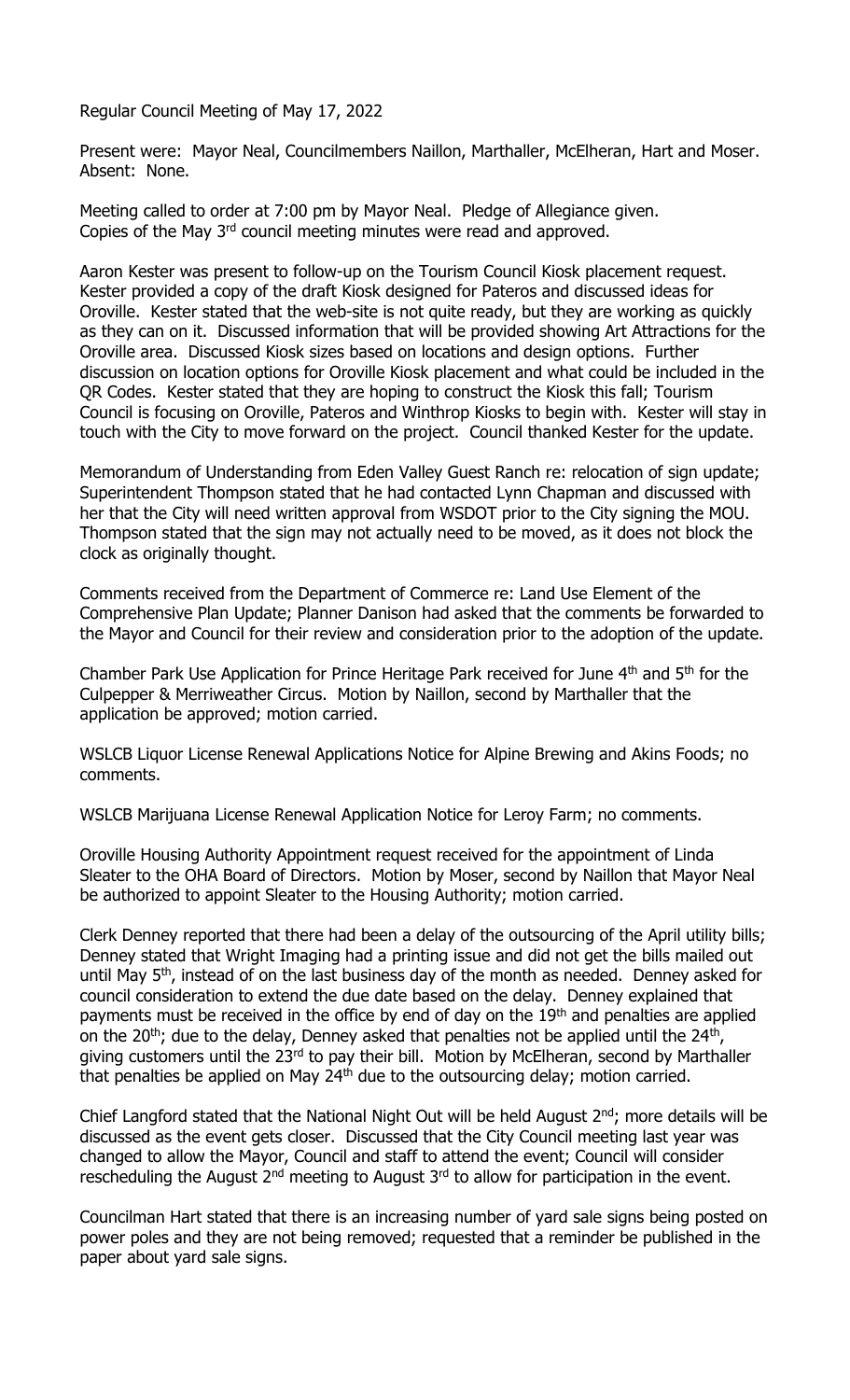Regular Council Meeting of May 17, 2022

Present were: Mayor Neal, Councilmembers Naillon, Marthaller, McElheran, Hart and Moser. Absent: None.

Meeting called to order at 7:00 pm by Mayor Neal. Pledge of Allegiance given. Copies of the May 3<sup>rd</sup> council meeting minutes were read and approved.

Aaron Kester was present to follow-up on the Tourism Council Kiosk placement request. Kester provided a copy of the draft Kiosk designed for Pateros and discussed ideas for Oroville. Kester stated that the web-site is not quite ready, but they are working as quickly as they can on it. Discussed information that will be provided showing Art Attractions for the Oroville area. Discussed Kiosk sizes based on locations and design options. Further discussion on location options for Oroville Kiosk placement and what could be included in the QR Codes. Kester stated that they are hoping to construct the Kiosk this fall; Tourism Council is focusing on Oroville, Pateros and Winthrop Kiosks to begin with. Kester will stay in touch with the City to move forward on the project. Council thanked Kester for the update.

Memorandum of Understanding from Eden Valley Guest Ranch re: relocation of sign update; Superintendent Thompson stated that he had contacted Lynn Chapman and discussed with her that the City will need written approval from WSDOT prior to the City signing the MOU. Thompson stated that the sign may not actually need to be moved, as it does not block the clock as originally thought.

Comments received from the Department of Commerce re: Land Use Element of the Comprehensive Plan Update; Planner Danison had asked that the comments be forwarded to the Mayor and Council for their review and consideration prior to the adoption of the update.

Chamber Park Use Application for Prince Heritage Park received for June 4<sup>th</sup> and 5<sup>th</sup> for the Culpepper & Merriweather Circus. Motion by Naillon, second by Marthaller that the application be approved; motion carried.

WSLCB Liquor License Renewal Applications Notice for Alpine Brewing and Akins Foods; no comments.

WSLCB Marijuana License Renewal Application Notice for Leroy Farm; no comments.

Oroville Housing Authority Appointment request received for the appointment of Linda Sleater to the OHA Board of Directors. Motion by Moser, second by Naillon that Mayor Neal be authorized to appoint Sleater to the Housing Authority; motion carried.

Clerk Denney reported that there had been a delay of the outsourcing of the April utility bills; Denney stated that Wright Imaging had a printing issue and did not get the bills mailed out until May  $5<sup>th</sup>$ , instead of on the last business day of the month as needed. Denney asked for council consideration to extend the due date based on the delay. Denney explained that payments must be received in the office by end of day on the 19<sup>th</sup> and penalties are applied on the 20<sup>th</sup>; due to the delay, Denney asked that penalties not be applied until the 24<sup>th</sup>, giving customers until the 23<sup>rd</sup> to pay their bill. Motion by McElheran, second by Marthaller that penalties be applied on May  $24<sup>th</sup>$  due to the outsourcing delay; motion carried.

Chief Langford stated that the National Night Out will be held August  $2^{nd}$ ; more details will be discussed as the event gets closer. Discussed that the City Council meeting last year was changed to allow the Mayor, Council and staff to attend the event; Council will consider rescheduling the August  $2^{nd}$  meeting to August  $3^{rd}$  to allow for participation in the event.

Councilman Hart stated that there is an increasing number of yard sale signs being posted on power poles and they are not being removed; requested that a reminder be published in the paper about yard sale signs.